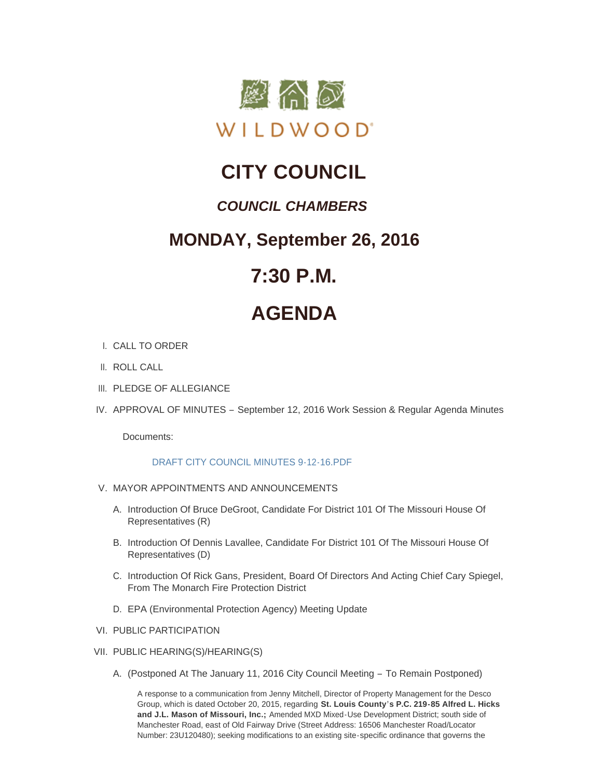

## **CITY COUNCIL**

### *COUNCIL CHAMBERS*

### **MONDAY, September 26, 2016**

### **7:30 P.M.**

# **AGENDA**

- CALL TO ORDER I.
- II. ROLL CALL
- III. PLEDGE OF ALLEGIANCE
- IV. APPROVAL OF MINUTES September 12, 2016 Work Session & Regular Agenda Minutes

Documents:

#### [DRAFT CITY COUNCIL MINUTES 9-12-16.PDF](http://cityofwildwood.com/AgendaCenter/ViewFile/Item/8289?fileID=12341)

- V. MAYOR APPOINTMENTS AND ANNOUNCEMENTS
	- A. Introduction Of Bruce DeGroot, Candidate For District 101 Of The Missouri House Of Representatives (R)
	- B. Introduction Of Dennis Lavallee, Candidate For District 101 Of The Missouri House Of Representatives (D)
	- C. Introduction Of Rick Gans, President, Board Of Directors And Acting Chief Cary Spiegel, From The Monarch Fire Protection District
	- D. EPA (Environmental Protection Agency) Meeting Update
- VI. PUBLIC PARTICIPATION
- VII. PUBLIC HEARING(S)/HEARING(S)
	- A. (Postponed At The January 11, 2016 City Council Meeting To Remain Postponed)

A response to a communication from Jenny Mitchell, Director of Property Management for the Desco Group, which is dated October 20, 2015, regarding **St. Louis County's P.C. 219-85 Alfred L. Hicks and J.L. Mason of Missouri, Inc.;** Amended MXD Mixed-Use Development District; south side of Manchester Road, east of Old Fairway Drive (Street Address: 16506 Manchester Road/Locator Number: 23U120480); seeking modifications to an existing site-specific ordinance that governs the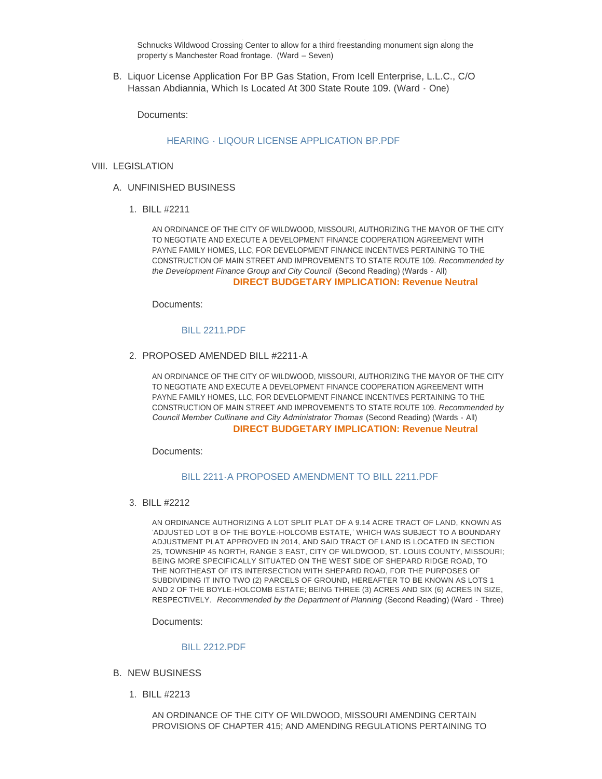Schnucks Wildwood Crossing Center to allow for a third freestanding monument sign along the property's Manchester Road frontage. (Ward – Seven)

Number: 23U120480); seeking modifications to an existing site-specific ordinance that governs the

B. Liquor License Application For BP Gas Station, From Icell Enterprise, L.L.C., C/O Hassan Abdiannia, Which Is Located At 300 State Route 109. (Ward - One)

Documents:

#### HEARING - [LIQOUR LICENSE APPLICATION BP.PDF](http://cityofwildwood.com/AgendaCenter/ViewFile/Item/8298?fileID=12342)

#### VIII. LEGISLATION

- UNFINISHED BUSINESS A.
	- BILL #2211 1.

AN ORDINANCE OF THE CITY OF WILDWOOD, MISSOURI, AUTHORIZING THE MAYOR OF THE CITY TO NEGOTIATE AND EXECUTE A DEVELOPMENT FINANCE COOPERATION AGREEMENT WITH PAYNE FAMILY HOMES, LLC, FOR DEVELOPMENT FINANCE INCENTIVES PERTAINING TO THE CONSTRUCTION OF MAIN STREET AND IMPROVEMENTS TO STATE ROUTE 109. *Recommended by the Development Finance Group and City Council* (Second Reading) (Wards - All)

#### **DIRECT BUDGETARY IMPLICATION: Revenue Neutral**

Documents:

#### [BILL 2211.PDF](http://cityofwildwood.com/AgendaCenter/ViewFile/Item/8301?fileID=12343)

PROPOSED AMENDED BILL #2211-A 2.

AN ORDINANCE OF THE CITY OF WILDWOOD, MISSOURI, AUTHORIZING THE MAYOR OF THE CITY TO NEGOTIATE AND EXECUTE A DEVELOPMENT FINANCE COOPERATION AGREEMENT WITH PAYNE FAMILY HOMES, LLC, FOR DEVELOPMENT FINANCE INCENTIVES PERTAINING TO THE CONSTRUCTION OF MAIN STREET AND IMPROVEMENTS TO STATE ROUTE 109. *Recommended by Council Member Cullinane and City Administrator Thomas* (Second Reading) (Wards - All) **DIRECT BUDGETARY IMPLICATION: Revenue Neutral**

Documents:

#### [BILL 2211-A PROPOSED AMENDMENT TO BILL 2211.PDF](http://cityofwildwood.com/AgendaCenter/ViewFile/Item/8302?fileID=12344)

BILL #2212 3.

AN ORDINANCE AUTHORIZING A LOT SPLIT PLAT OF A 9.14 ACRE TRACT OF LAND, KNOWN AS 'ADJUSTED LOT B OF THE BOYLE-HOLCOMB ESTATE,' WHICH WAS SUBJECT TO A BOUNDARY ADJUSTMENT PLAT APPROVED IN 2014, AND SAID TRACT OF LAND IS LOCATED IN SECTION 25, TOWNSHIP 45 NORTH, RANGE 3 EAST, CITY OF WILDWOOD, ST. LOUIS COUNTY, MISSOURI; BEING MORE SPECIFICALLY SITUATED ON THE WEST SIDE OF SHEPARD RIDGE ROAD, TO THE NORTHEAST OF ITS INTERSECTION WITH SHEPARD ROAD, FOR THE PURPOSES OF SUBDIVIDING IT INTO TWO (2) PARCELS OF GROUND, HEREAFTER TO BE KNOWN AS LOTS 1 AND 2 OF THE BOYLE-HOLCOMB ESTATE; BEING THREE (3) ACRES AND SIX (6) ACRES IN SIZE, RESPECTIVELY. *Recommended by the Department of Planning* (Second Reading) (Ward - Three)

Documents:

#### [BILL 2212.PDF](http://cityofwildwood.com/AgendaCenter/ViewFile/Item/8303?fileID=12345)

- **B. NEW BUSINESS** 
	- BILL #2213 1.

AN ORDINANCE OF THE CITY OF WILDWOOD, MISSOURI AMENDING CERTAIN PROVISIONS OF CHAPTER 415; AND AMENDING REGULATIONS PERTAINING TO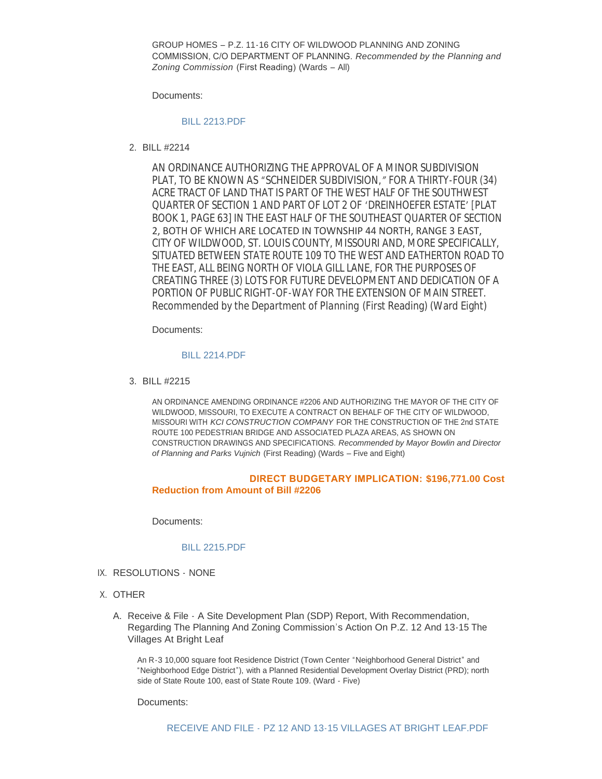GROUP HOMES – P.Z. 11-16 CITY OF WILDWOOD PLANNING AND ZONING COMMISSION, C/O DEPARTMENT OF PLANNING. *Recommended by the Planning and Zoning Commission* (First Reading) (Wards – All)

Documents:

#### [BILL 2213.PDF](http://cityofwildwood.com/AgendaCenter/ViewFile/Item/8305?fileID=12346)

BILL #2214 2.

AN ORDINANCE AUTHORIZING THE APPROVAL OF A MINOR SUBDIVISION PLAT, TO BE KNOWN AS "*SCHNEIDER SUBDIVISION,"* FOR A THIRTY-FOUR (34) ACRE TRACT OF LAND THAT IS PART OF THE WEST HALF OF THE SOUTHWEST QUARTER OF SECTION 1 AND PART OF LOT 2 OF 'DREINHOEFER ESTATE' [PLAT BOOK 1, PAGE 63] IN THE EAST HALF OF THE SOUTHEAST QUARTER OF SECTION 2, BOTH OF WHICH ARE LOCATED IN TOWNSHIP 44 NORTH, RANGE 3 EAST, CITY OF WILDWOOD, ST. LOUIS COUNTY, MISSOURI AND, MORE SPECIFICALLY, SITUATED BETWEEN STATE ROUTE 109 TO THE WEST AND EATHERTON ROAD TO THE EAST, ALL BEING NORTH OF VIOLA GILL LANE, FOR THE PURPOSES OF CREATING THREE (3) LOTS FOR FUTURE DEVELOPMENT AND DEDICATION OF A PORTION OF PUBLIC RIGHT-OF-WAY FOR THE EXTENSION OF MAIN STREET. *Recommended by the Department of Planning* (First Reading) (Ward Eight)

Documents:

#### [BILL 2214.PDF](http://cityofwildwood.com/AgendaCenter/ViewFile/Item/8306?fileID=12347)

BILL #2215 3.

AN ORDINANCE AMENDING ORDINANCE #2206 AND AUTHORIZING THE MAYOR OF THE CITY OF WILDWOOD, MISSOURI, TO EXECUTE A CONTRACT ON BEHALF OF THE CITY OF WILDWOOD, MISSOURI WITH *KCI CONSTRUCTION COMPANY* FOR THE CONSTRUCTION OF THE 2nd STATE ROUTE 100 PEDESTRIAN BRIDGE AND ASSOCIATED PLAZA AREAS, AS SHOWN ON CONSTRUCTION DRAWINGS AND SPECIFICATIONS. *Recommended by Mayor Bowlin and Director of Planning and Parks Vujnich* (First Reading) (Wards – Five and Eight)

#### **DIRECT BUDGETARY IMPLICATION: \$196,771.00 Cost Reduction from Amount of Bill #2206**

Documents:

#### [BILL 2215.PDF](http://cityofwildwood.com/AgendaCenter/ViewFile/Item/8307?fileID=12348)

- IX. RESOLUTIONS NONE
- X. OTHER
	- A. Receive & File A Site Development Plan (SDP) Report, With Recommendation, Regarding The Planning And Zoning Commission's Action On P.Z. 12 And 13-15 The Villages At Bright Leaf

An R-3 10,000 square foot Residence District (Town Center "Neighborhood General District" and "Neighborhood Edge District"), with a Planned Residential Development Overlay District (PRD); north side of State Route 100, east of State Route 109. (Ward - Five)

Documents: